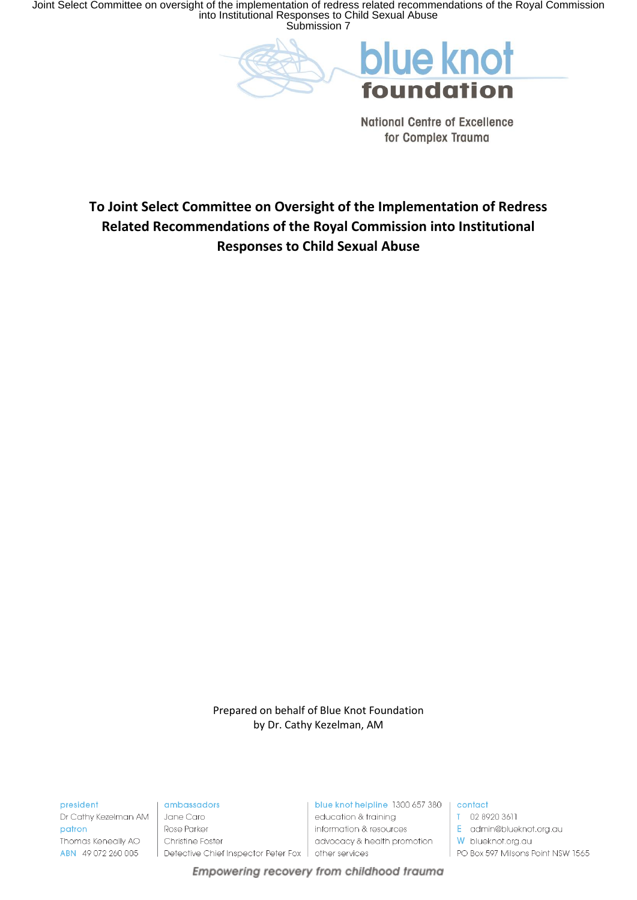Joint Select Committee on oversight of the implementation of redress related recommendations of the Royal Commission into Institutional Responses to Child Sexual Abuse Submission 7

> blue knot foundation

> > **National Centre of Excellence** for Complex Trauma

To Joint Select Committee on Oversight of the Implementation of Redress Related Recommendations of the Royal Commission into Institutional **Responses to Child Sexual Abuse** 

> Prepared on behalf of Blue Knot Foundation by Dr. Cathy Kezelman, AM

Empowering recovery from childhood trauma

president

Dr Cathy Kezelman AM patron Thomas Keneally AO ABN 49 072 260 005

ambassadors

Jane Caro Rose Parker Christine Foster Detective Chief Inspector Peter Fox

blue knot helpline 1300 657 380 | contact education & trainina information & resources advocacy & health promotion other services

T 02 8920 3611

E admin@blueknot.org.au

W blueknot.org.au

 $\mid$  PO Box 597 Milsons Point NSW 1565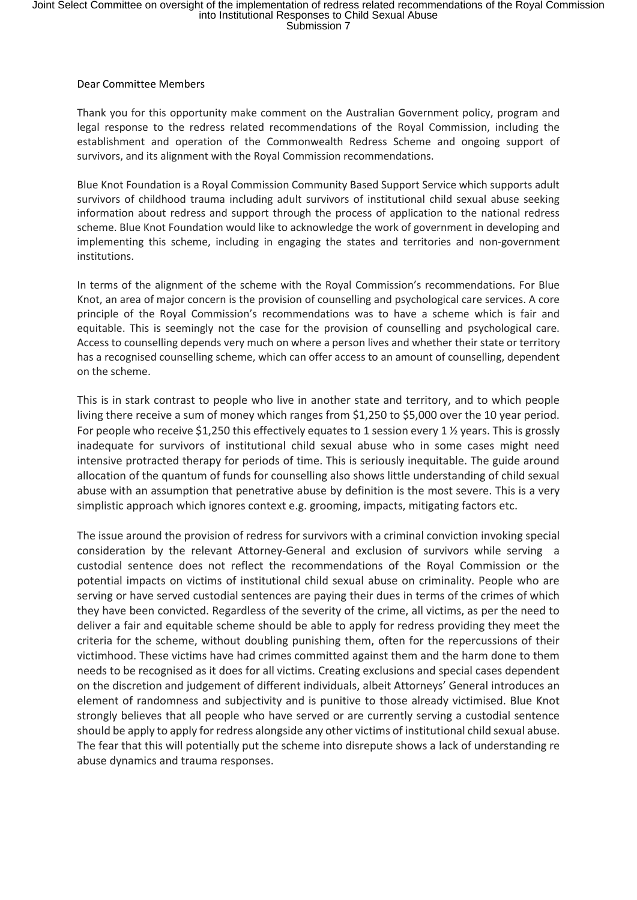## Joint Select Committee on oversight of the implementation of redress related recommendations of the Royal Commission<br>into Institutional Responses to Child Sexual Abuse<br>Submission 7

## Dear Committee Members

Thank you for this opportunity make comment on the Australian Government policy, program and legal response to the redress related recommendations of the Royal Commission, including the establishment and operation of the Commonwealth Redress Scheme and ongoing support of survivors, and its alignment with the Royal Commission recommendations.

Blue Knot Foundation is a Royal Commission Community Based Support Service which supports adult survivors of childhood trauma including adult survivors of institutional child sexual abuse seeking information about redress and support through the process of application to the national redress scheme. Blue Knot Foundation would like to acknowledge the work of government in developing and implementing this scheme, including in engaging the states and territories and non-government institutions.

In terms of the alignment of the scheme with the Royal Commission's recommendations. For Blue Knot, an area of major concern is the provision of counselling and psychological care services. A core principle of the Royal Commission's recommendations was to have a scheme which is fair and equitable. This is seemingly not the case for the provision of counselling and psychological care. Access to counselling depends very much on where a person lives and whether their state or territory has a recognised counselling scheme, which can offer access to an amount of counselling, dependent on the scheme.

This is in stark contrast to people who live in another state and territory, and to which people living there receive a sum of money which ranges from \$1,250 to \$5,000 over the 10 year period. For people who receive \$1,250 this effectively equates to 1 session every 1 ½ years. This is grossly inadequate for survivors of institutional child sexual abuse who in some cases might need intensive protracted therapy for periods of time. This is seriously inequitable. The guide around allocation of the quantum of funds for counselling also shows little understanding of child sexual abuse with an assumption that penetrative abuse by definition is the most severe. This is a very simplistic approach which ignores context e.g. grooming, impacts, mitigating factors etc.

The issue around the provision of redress for survivors with a criminal conviction invoking special consideration by the relevant Attorney-General and exclusion of survivors while serving a custodial sentence does not reflect the recommendations of the Royal Commission or the potential impacts on victims of institutional child sexual abuse on criminality. People who are serving or have served custodial sentences are paying their dues in terms of the crimes of which they have been convicted. Regardless of the severity of the crime, all victims, as per the need to deliver a fair and equitable scheme should be able to apply for redress providing they meet the criteria for the scheme, without doubling punishing them, often for the repercussions of their victimhood. These victims have had crimes committed against them and the harm done to them needs to be recognised as it does for all victims. Creating exclusions and special cases dependent on the discretion and judgement of different individuals, albeit Attorneys' General introduces an element of randomness and subjectivity and is punitive to those already victimised. Blue Knot strongly believes that all people who have served or are currently serving a custodial sentence should be apply to apply for redress alongside any other victims of institutional child sexual abuse. The fear that this will potentially put the scheme into disrepute shows a lack of understanding re abuse dynamics and trauma responses.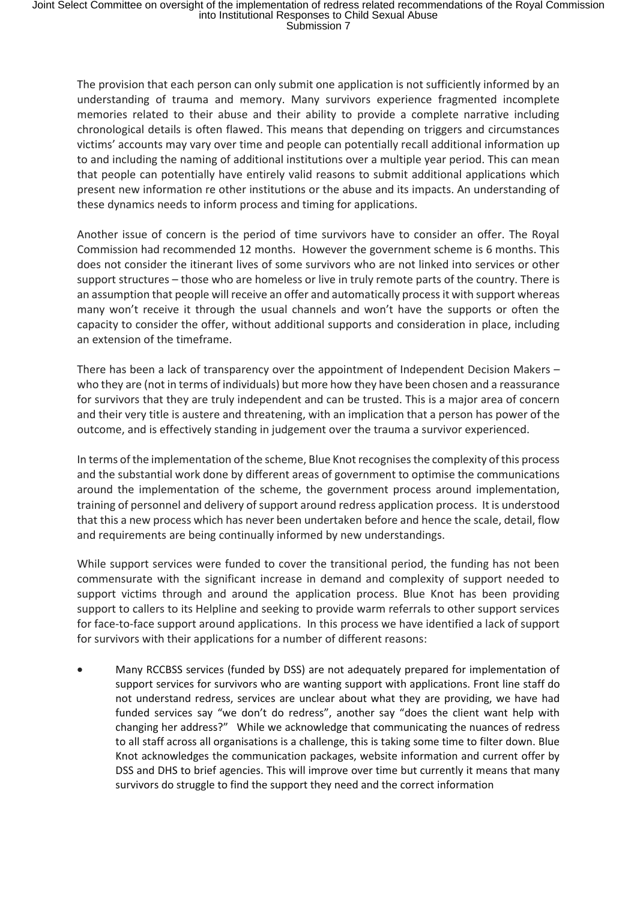The provision that each person can only submit one application is not sufficiently informed by an understanding of trauma and memory. Many survivors experience fragmented incomplete memories related to their abuse and their ability to provide a complete narrative including chronological details is often flawed. This means that depending on triggers and circumstances victims' accounts may vary over time and people can potentially recall additional information up to and including the naming of additional institutions over a multiple year period. This can mean that people can potentially have entirely valid reasons to submit additional applications which present new information re other institutions or the abuse and its impacts. An understanding of these dynamics needs to inform process and timing for applications.

Another issue of concern is the period of time survivors have to consider an offer. The Royal Commission had recommended 12 months. However the government scheme is 6 months. This does not consider the itinerant lives of some survivors who are not linked into services or other support structures – those who are homeless or live in truly remote parts of the country. There is an assumption that people will receive an offer and automatically process it with support whereas many won't receive it through the usual channels and won't have the supports or often the capacity to consider the offer, without additional supports and consideration in place, including an extension of the timeframe.

There has been a lack of transparency over the appointment of Independent Decision Makers – who they are (not in terms of individuals) but more how they have been chosen and a reassurance for survivors that they are truly independent and can be trusted. This is a major area of concern and their very title is austere and threatening, with an implication that a person has power of the outcome, and is effectively standing in judgement over the trauma a survivor experienced.

In terms of the implementation of the scheme, Blue Knot recognises the complexity of this process and the substantial work done by different areas of government to optimise the communications around the implementation of the scheme, the government process around implementation, training of personnel and delivery of support around redress application process. It is understood that this a new process which has never been undertaken before and hence the scale, detail, flow and requirements are being continually informed by new understandings.

While support services were funded to cover the transitional period, the funding has not been commensurate with the significant increase in demand and complexity of support needed to support victims through and around the application process. Blue Knot has been providing support to callers to its Helpline and seeking to provide warm referrals to other support services for face-to-face support around applications. In this process we have identified a lack of support for survivors with their applications for a number of different reasons:

 Many RCCBSS services (funded by DSS) are not adequately prepared for implementation of support services for survivors who are wanting support with applications. Front line staff do not understand redress, services are unclear about what they are providing, we have had funded services say "we don't do redress", another say "does the client want help with changing her address?" While we acknowledge that communicating the nuances of redress to all staff across all organisations is a challenge, this is taking some time to filter down. Blue Knot acknowledges the communication packages, website information and current offer by DSS and DHS to brief agencies. This will improve over time but currently it means that many survivors do struggle to find the support they need and the correct information